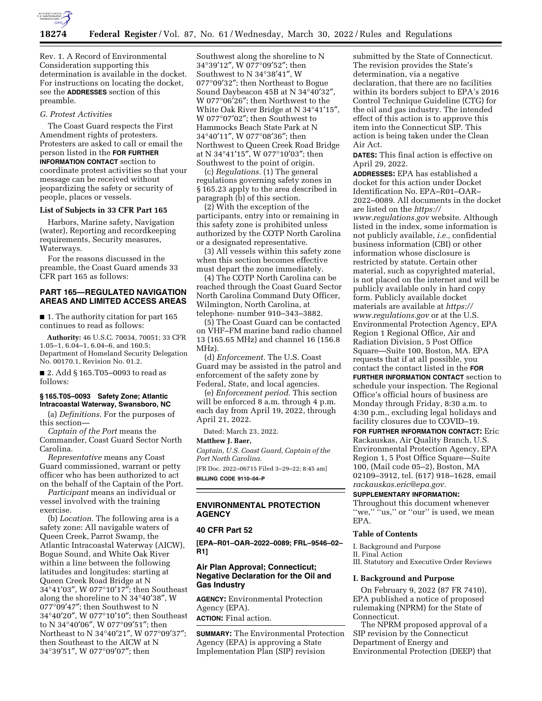

Rev. 1. A Record of Environmental Consideration supporting this determination is available in the docket. For instructions on locating the docket, see the **ADDRESSES** section of this preamble.

## *G. Protest Activities*

The Coast Guard respects the First Amendment rights of protesters. Protesters are asked to call or email the person listed in the **FOR FURTHER INFORMATION CONTACT** section to coordinate protest activities so that your message can be received without jeopardizing the safety or security of people, places or vessels.

#### **List of Subjects in 33 CFR Part 165**

Harbors, Marine safety, Navigation (water), Reporting and recordkeeping requirements, Security measures, Waterways.

For the reasons discussed in the preamble, the Coast Guard amends 33 CFR part 165 as follows:

# **PART 165—REGULATED NAVIGATION AREAS AND LIMITED ACCESS AREAS**

■ 1. The authority citation for part 165 continues to read as follows:

**Authority:** 46 U.S.C. 70034, 70051; 33 CFR 1.05–1, 6.04–1, 6.04–6, and 160.5; Department of Homeland Security Delegation No. 00170.1, Revision No. 01.2.

■ 2. Add § 165.T05–0093 to read as follows:

## **§ 165.T05–0093 Safety Zone; Atlantic Intracoastal Waterway, Swansboro, NC**

(a) *Definitions.* For the purposes of this section—

*Captain of the Port* means the Commander, Coast Guard Sector North Carolina.

*Representative* means any Coast Guard commissioned, warrant or petty officer who has been authorized to act on the behalf of the Captain of the Port.

*Participant* means an individual or vessel involved with the training exercise.

(b) *Location.* The following area is a safety zone: All navigable waters of Queen Creek, Parrot Swamp, the Atlantic Intracoastal Waterway (AICW), Bogue Sound, and White Oak River within a line between the following latitudes and longitudes: starting at Queen Creek Road Bridge at N 34°41′03″, W 077°10′17″; then Southeast along the shoreline to N 34°40′38″, W 077°09′47″; then Southwest to N 34°40′20″, W 077°10′10″; then Southeast to N 34°40′06″, W 077°09′51″; then Northeast to N 34°40′21″, W 077°09′37″; then Southeast to the AICW at N 34°39′51″, W 077°09′07″; then

Southwest along the shoreline to N 34°39′12″, W 077°09′52″; then Southwest to N 34°38′41″, W 077°09′32″; then Northeast to Bogue Sound Daybeacon 45B at N 34°40′32″, W 077°06′26″; then Northwest to the White Oak River Bridge at N 34°41′15″, W 077°07′02″; then Southwest to Hammocks Beach State Park at N 34°40′11″, W 077°08′36″; then Northwest to Queen Creek Road Bridge at N 34°41′15″, W 077°10′03″; then Southwest to the point of origin.

(c) *Regulations.* (1) The general regulations governing safety zones in § 165.23 apply to the area described in paragraph (b) of this section.

(2) With the exception of the participants, entry into or remaining in this safety zone is prohibited unless authorized by the COTP North Carolina or a designated representative.

(3) All vessels within this safety zone when this section becomes effective must depart the zone immediately.

(4) The COTP North Carolina can be reached through the Coast Guard Sector North Carolina Command Duty Officer, Wilmington, North Carolina, at telephone· number 910–343–3882.

(5) The Coast Guard can be contacted on VHF–FM marine band radio channel 13 (165.65 MHz) and channel 16 (156.8 MHz).

(d) *Enforcement.* The U.S. Coast Guard may be assisted in the patrol and enforcement of the safety zone by Federal, State, and local agencies.

(e) *Enforcement period.* This section will be enforced 8 a.m. through 4 p.m. each day from April 19, 2022, through April 21, 2022.

Dated: March 23, 2022.

## **Matthew J. Baer,**

*Captain, U.S. Coast Guard, Captain of the Port North Carolina.* 

[FR Doc. 2022–06715 Filed 3–29–22; 8:45 am] **BILLING CODE 9110–04–P** 

# **ENVIRONMENTAL PROTECTION AGENCY**

## **40 CFR Part 52**

**[EPA–R01–OAR–2022–0089; FRL–9546–02– R1]** 

# **Air Plan Approval; Connecticut; Negative Declaration for the Oil and Gas Industry**

**AGENCY:** Environmental Protection Agency (EPA).

**ACTION:** Final action.

**SUMMARY:** The Environmental Protection Agency (EPA) is approving a State Implementation Plan (SIP) revision

submitted by the State of Connecticut. The revision provides the State's determination, via a negative declaration, that there are no facilities within its borders subject to EPA's 2016 Control Technique Guideline (CTG) for the oil and gas industry. The intended effect of this action is to approve this item into the Connecticut SIP. This action is being taken under the Clean Air Act.

**DATES:** This final action is effective on April 29, 2022.

**ADDRESSES:** EPA has established a docket for this action under Docket Identification No. EPA–R01–OAR– 2022–0089. All documents in the docket are listed on the *[https://](https://www.regulations.gov) [www.regulations.gov](https://www.regulations.gov)* website. Although listed in the index, some information is not publicly available, *i.e.,* confidential business information (CBI) or other information whose disclosure is restricted by statute. Certain other material, such as copyrighted material, is not placed on the internet and will be publicly available only in hard copy form. Publicly available docket materials are available at *[https://](https://www.regulations.gov) [www.regulations.gov](https://www.regulations.gov)* or at the U.S. Environmental Protection Agency, EPA Region 1 Regional Office, Air and Radiation Division, 5 Post Office Square—Suite 100, Boston, MA. EPA requests that if at all possible, you contact the contact listed in the **FOR FURTHER INFORMATION CONTACT** section to schedule your inspection. The Regional Office's official hours of business are Monday through Friday, 8:30 a.m. to 4:30 p.m., excluding legal holidays and

facility closures due to COVID–19. **FOR FURTHER INFORMATION CONTACT:** Eric Rackauskas, Air Quality Branch, U.S. Environmental Protection Agency, EPA Region 1, 5 Post Office Square—Suite 100, (Mail code 05–2), Boston, MA 02109–3912, tel. (617) 918–1628, email *[rackauskas.eric@epa.gov.](mailto:rackauskas.eric@epa.gov)* 

# **SUPPLEMENTARY INFORMATION:**

Throughout this document whenever "we," "us," or "our" is used, we mean EPA.

# **Table of Contents**

I. Background and Purpose II. Final Action III. Statutory and Executive Order Reviews

#### **I. Background and Purpose**

On February 9, 2022 (87 FR 7410), EPA published a notice of proposed rulemaking (NPRM) for the State of Connecticut.

The NPRM proposed approval of a SIP revision by the Connecticut Department of Energy and Environmental Protection (DEEP) that